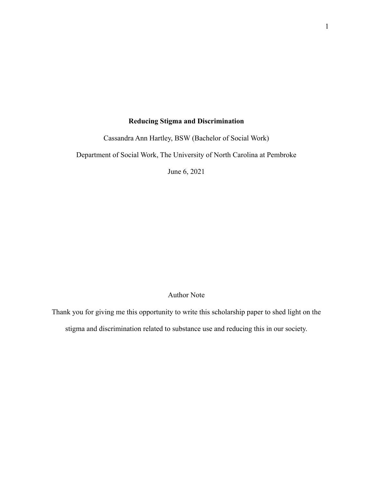# **Reducing Stigma and Discrimination**

Cassandra Ann Hartley, BSW (Bachelor of Social Work)

Department of Social Work, The University of North Carolina at Pembroke

June 6, 2021

# Author Note

Thank you for giving me this opportunity to write this scholarship paper to shed light on the stigma and discrimination related to substance use and reducing this in our society.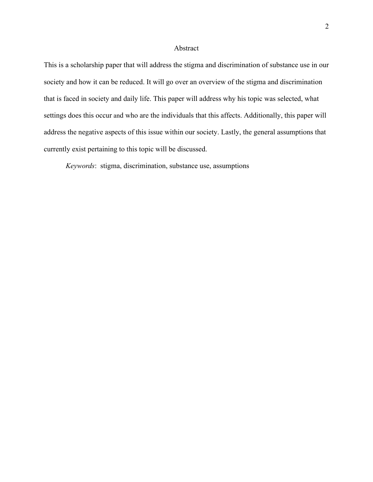### Abstract

This is a scholarship paper that will address the stigma and discrimination of substance use in our society and how it can be reduced. It will go over an overview of the stigma and discrimination that is faced in society and daily life. This paper will address why his topic was selected, what settings does this occur and who are the individuals that this affects. Additionally, this paper will address the negative aspects of this issue within our society. Lastly, the general assumptions that currently exist pertaining to this topic will be discussed.

*Keywords*: stigma, discrimination, substance use, assumptions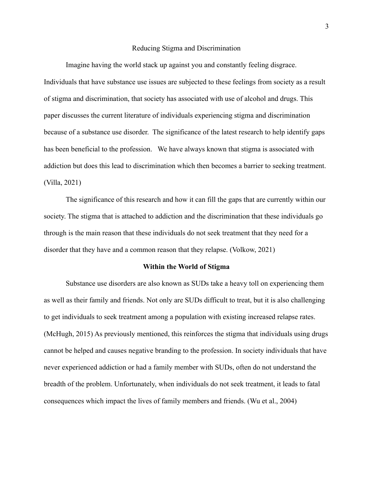#### Reducing Stigma and Discrimination

Imagine having the world stack up against you and constantly feeling disgrace. Individuals that have substance use issues are subjected to these feelings from society as a result of stigma and discrimination, that society has associated with use of alcohol and drugs. This paper discusses the current literature of individuals experiencing stigma and discrimination because of a substance use disorder. The significance of the latest research to help identify gaps has been beneficial to the profession. We have always known that stigma is associated with addiction but does this lead to discrimination which then becomes a barrier to seeking treatment. (Villa, 2021)

The significance of this research and how it can fill the gaps that are currently within our society. The stigma that is attached to addiction and the discrimination that these individuals go through is the main reason that these individuals do not seek treatment that they need for a disorder that they have and a common reason that they relapse. (Volkow, 2021)

#### **Within the World of Stigma**

Substance use disorders are also known as SUDs take a heavy toll on experiencing them as well as their family and friends. Not only are SUDs difficult to treat, but it is also challenging to get individuals to seek treatment among a population with existing increased relapse rates. (McHugh, 2015) As previously mentioned, this reinforces the stigma that individuals using drugs cannot be helped and causes negative branding to the profession. In society individuals that have never experienced addiction or had a family member with SUDs, often do not understand the breadth of the problem. Unfortunately, when individuals do not seek treatment, it leads to fatal consequences which impact the lives of family members and friends. (Wu et al., 2004)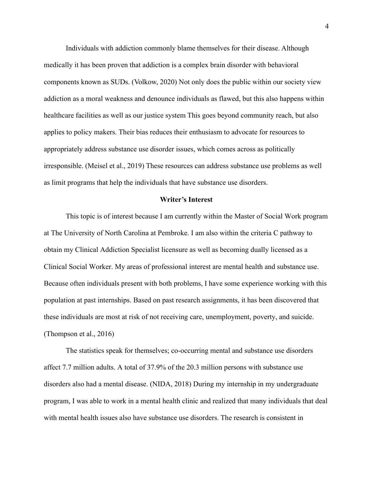Individuals with addiction commonly blame themselves for their disease. Although medically it has been proven that addiction is a complex brain disorder with behavioral components known as SUDs. (Volkow, 2020) Not only does the public within our society view addiction as a moral weakness and denounce individuals as flawed, but this also happens within healthcare facilities as well as our justice system This goes beyond community reach, but also applies to policy makers. Their bias reduces their enthusiasm to advocate for resources to appropriately address substance use disorder issues, which comes across as politically irresponsible. (Meisel et al., 2019) These resources can address substance use problems as well as limit programs that help the individuals that have substance use disorders.

### **Writer's Interest**

This topic is of interest because I am currently within the Master of Social Work program at The University of North Carolina at Pembroke. I am also within the criteria C pathway to obtain my Clinical Addiction Specialist licensure as well as becoming dually licensed as a Clinical Social Worker. My areas of professional interest are mental health and substance use. Because often individuals present with both problems, I have some experience working with this population at past internships. Based on past research assignments, it has been discovered that these individuals are most at risk of not receiving care, unemployment, poverty, and suicide. (Thompson et al., 2016)

The statistics speak for themselves; co-occurring mental and substance use disorders affect 7.7 million adults. A total of 37.9% of the 20.3 million persons with substance use disorders also had a mental disease. (NIDA, 2018) During my internship in my undergraduate program, I was able to work in a mental health clinic and realized that many individuals that deal with mental health issues also have substance use disorders. The research is consistent in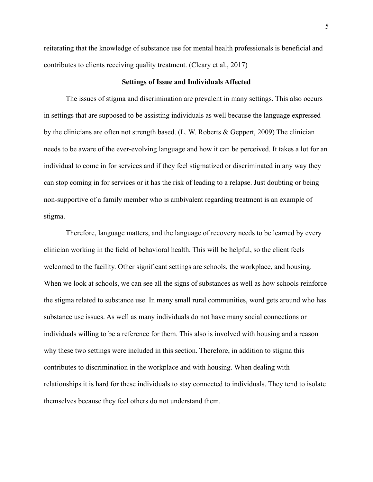reiterating that the knowledge of substance use for mental health professionals is beneficial and contributes to clients receiving quality treatment. (Cleary et al., 2017)

### **Settings of Issue and Individuals Affected**

The issues of stigma and discrimination are prevalent in many settings. This also occurs in settings that are supposed to be assisting individuals as well because the language expressed by the clinicians are often not strength based. (L. W. Roberts & Geppert, 2009) The clinician needs to be aware of the ever-evolving language and how it can be perceived. It takes a lot for an individual to come in for services and if they feel stigmatized or discriminated in any way they can stop coming in for services or it has the risk of leading to a relapse. Just doubting or being non-supportive of a family member who is ambivalent regarding treatment is an example of stigma.

Therefore, language matters, and the language of recovery needs to be learned by every clinician working in the field of behavioral health. This will be helpful, so the client feels welcomed to the facility. Other significant settings are schools, the workplace, and housing. When we look at schools, we can see all the signs of substances as well as how schools reinforce the stigma related to substance use. In many small rural communities, word gets around who has substance use issues. As well as many individuals do not have many social connections or individuals willing to be a reference for them. This also is involved with housing and a reason why these two settings were included in this section. Therefore, in addition to stigma this contributes to discrimination in the workplace and with housing. When dealing with relationships it is hard for these individuals to stay connected to individuals. They tend to isolate themselves because they feel others do not understand them.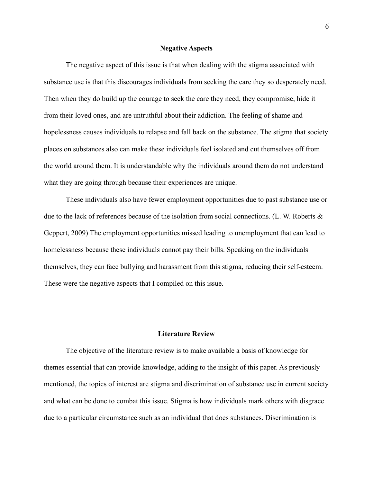### **Negative Aspects**

The negative aspect of this issue is that when dealing with the stigma associated with substance use is that this discourages individuals from seeking the care they so desperately need. Then when they do build up the courage to seek the care they need, they compromise, hide it from their loved ones, and are untruthful about their addiction. The feeling of shame and hopelessness causes individuals to relapse and fall back on the substance. The stigma that society places on substances also can make these individuals feel isolated and cut themselves off from the world around them. It is understandable why the individuals around them do not understand what they are going through because their experiences are unique.

These individuals also have fewer employment opportunities due to past substance use or due to the lack of references because of the isolation from social connections. (L. W. Roberts & Geppert, 2009) The employment opportunities missed leading to unemployment that can lead to homelessness because these individuals cannot pay their bills. Speaking on the individuals themselves, they can face bullying and harassment from this stigma, reducing their self-esteem. These were the negative aspects that I compiled on this issue.

### **Literature Review**

 The objective of the literature review is to make available a basis of knowledge for themes essential that can provide knowledge, adding to the insight of this paper. As previously mentioned, the topics of interest are stigma and discrimination of substance use in current society and what can be done to combat this issue. Stigma is how individuals mark others with disgrace due to a particular circumstance such as an individual that does substances. Discrimination is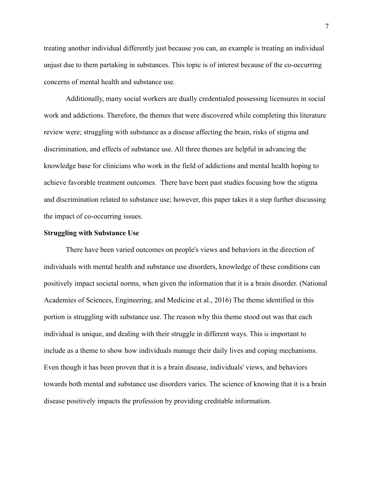treating another individual differently just because you can, an example is treating an individual unjust due to them partaking in substances. This topic is of interest because of the co-occurring concerns of mental health and substance use.

Additionally, many social workers are dually credentialed possessing licensures in social work and addictions. Therefore, the themes that were discovered while completing this literature review were; struggling with substance as a disease affecting the brain, risks of stigma and discrimination, and effects of substance use. All three themes are helpful in advancing the knowledge base for clinicians who work in the field of addictions and mental health hoping to achieve favorable treatment outcomes. There have been past studies focusing how the stigma and discrimination related to substance use; however, this paper takes it a step further discussing the impact of co-occurring issues.

### **Struggling with Substance Use**

 There have been varied outcomes on people's views and behaviors in the direction of individuals with mental health and substance use disorders, knowledge of these conditions can positively impact societal norms, when given the information that it is a brain disorder. (National Academies of Sciences, Engineering, and Medicine et al., 2016) The theme identified in this portion is struggling with substance use. The reason why this theme stood out was that each individual is unique, and dealing with their struggle in different ways. This is important to include as a theme to show how individuals manage their daily lives and coping mechanisms. Even though it has been proven that it is a brain disease, individuals' views, and behaviors towards both mental and substance use disorders varies. The science of knowing that it is a brain disease positively impacts the profession by providing creditable information.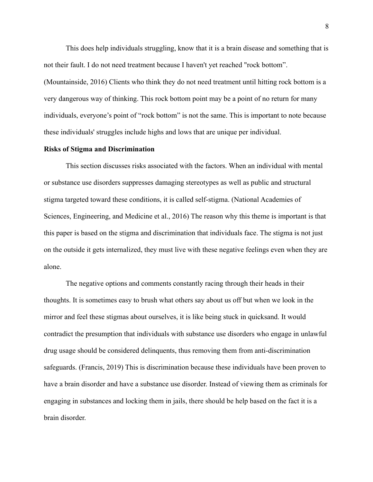This does help individuals struggling, know that it is a brain disease and something that is not their fault. I do not need treatment because I haven't yet reached "rock bottom". (Mountainside, 2016) Clients who think they do not need treatment until hitting rock bottom is a very dangerous way of thinking. This rock bottom point may be a point of no return for many individuals, everyone's point of "rock bottom" is not the same. This is important to note because these individuals' struggles include highs and lows that are unique per individual.

### **Risks of Stigma and Discrimination**

 This section discusses risks associated with the factors. When an individual with mental or substance use disorders suppresses damaging stereotypes as well as public and structural stigma targeted toward these conditions, it is called self-stigma. (National Academies of Sciences, Engineering, and Medicine et al., 2016) The reason why this theme is important is that this paper is based on the stigma and discrimination that individuals face. The stigma is not just on the outside it gets internalized, they must live with these negative feelings even when they are alone.

The negative options and comments constantly racing through their heads in their thoughts. It is sometimes easy to brush what others say about us off but when we look in the mirror and feel these stigmas about ourselves, it is like being stuck in quicksand. It would contradict the presumption that individuals with substance use disorders who engage in unlawful drug usage should be considered delinquents, thus removing them from anti-discrimination safeguards. (Francis, 2019) This is discrimination because these individuals have been proven to have a brain disorder and have a substance use disorder. Instead of viewing them as criminals for engaging in substances and locking them in jails, there should be help based on the fact it is a brain disorder.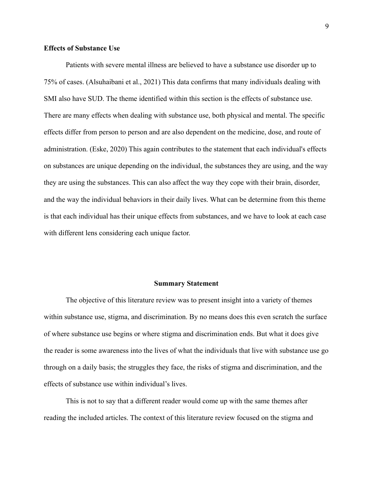### **Effects of Substance Use**

 Patients with severe mental illness are believed to have a substance use disorder up to 75% of cases. (Alsuhaibani et al., 2021) This data confirms that many individuals dealing with SMI also have SUD. The theme identified within this section is the effects of substance use. There are many effects when dealing with substance use, both physical and mental. The specific effects differ from person to person and are also dependent on the medicine, dose, and route of administration. (Eske, 2020) This again contributes to the statement that each individual's effects on substances are unique depending on the individual, the substances they are using, and the way they are using the substances. This can also affect the way they cope with their brain, disorder, and the way the individual behaviors in their daily lives. What can be determine from this theme is that each individual has their unique effects from substances, and we have to look at each case with different lens considering each unique factor.

### **Summary Statement**

 The objective of this literature review was to present insight into a variety of themes within substance use, stigma, and discrimination. By no means does this even scratch the surface of where substance use begins or where stigma and discrimination ends. But what it does give the reader is some awareness into the lives of what the individuals that live with substance use go through on a daily basis; the struggles they face, the risks of stigma and discrimination, and the effects of substance use within individual's lives.

This is not to say that a different reader would come up with the same themes after reading the included articles. The context of this literature review focused on the stigma and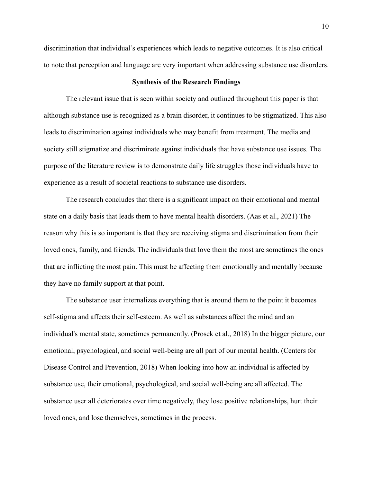discrimination that individual's experiences which leads to negative outcomes. It is also critical to note that perception and language are very important when addressing substance use disorders.

### **Synthesis of the Research Findings**

 The relevant issue that is seen within society and outlined throughout this paper is that although substance use is recognized as a brain disorder, it continues to be stigmatized. This also leads to discrimination against individuals who may benefit from treatment. The media and society still stigmatize and discriminate against individuals that have substance use issues. The purpose of the literature review is to demonstrate daily life struggles those individuals have to experience as a result of societal reactions to substance use disorders.

The research concludes that there is a significant impact on their emotional and mental state on a daily basis that leads them to have mental health disorders. (Aas et al., 2021) The reason why this is so important is that they are receiving stigma and discrimination from their loved ones, family, and friends. The individuals that love them the most are sometimes the ones that are inflicting the most pain. This must be affecting them emotionally and mentally because they have no family support at that point.

The substance user internalizes everything that is around them to the point it becomes self-stigma and affects their self-esteem. As well as substances affect the mind and an individual's mental state, sometimes permanently. (Prosek et al., 2018) In the bigger picture, our emotional, psychological, and social well-being are all part of our mental health. (Centers for Disease Control and Prevention, 2018) When looking into how an individual is affected by substance use, their emotional, psychological, and social well-being are all affected. The substance user all deteriorates over time negatively, they lose positive relationships, hurt their loved ones, and lose themselves, sometimes in the process.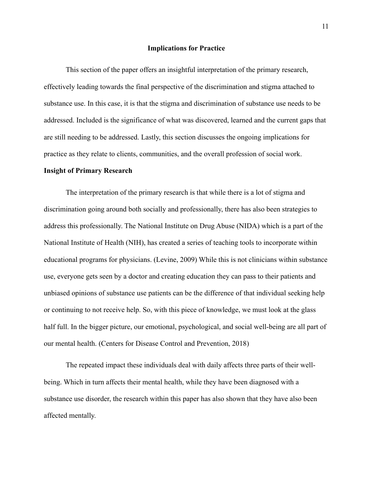#### **Implications for Practice**

This section of the paper offers an insightful interpretation of the primary research, effectively leading towards the final perspective of the discrimination and stigma attached to substance use. In this case, it is that the stigma and discrimination of substance use needs to be addressed. Included is the significance of what was discovered, learned and the current gaps that are still needing to be addressed. Lastly, this section discusses the ongoing implications for practice as they relate to clients, communities, and the overall profession of social work. **Insight of Primary Research**

The interpretation of the primary research is that while there is a lot of stigma and discrimination going around both socially and professionally, there has also been strategies to address this professionally. The National Institute on Drug Abuse (NIDA) which is a part of the National Institute of Health (NIH), has created a series of teaching tools to incorporate within educational programs for physicians. (Levine, 2009) While this is not clinicians within substance use, everyone gets seen by a doctor and creating education they can pass to their patients and unbiased opinions of substance use patients can be the difference of that individual seeking help or continuing to not receive help. So, with this piece of knowledge, we must look at the glass half full. In the bigger picture, our emotional, psychological, and social well-being are all part of our mental health. (Centers for Disease Control and Prevention, 2018)

The repeated impact these individuals deal with daily affects three parts of their wellbeing. Which in turn affects their mental health, while they have been diagnosed with a substance use disorder, the research within this paper has also shown that they have also been affected mentally.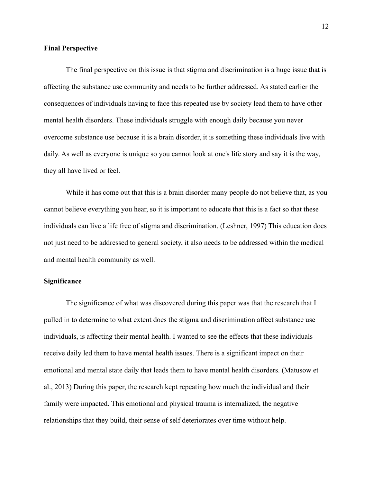### **Final Perspective**

The final perspective on this issue is that stigma and discrimination is a huge issue that is affecting the substance use community and needs to be further addressed. As stated earlier the consequences of individuals having to face this repeated use by society lead them to have other mental health disorders. These individuals struggle with enough daily because you never overcome substance use because it is a brain disorder, it is something these individuals live with daily. As well as everyone is unique so you cannot look at one's life story and say it is the way, they all have lived or feel.

While it has come out that this is a brain disorder many people do not believe that, as you cannot believe everything you hear, so it is important to educate that this is a fact so that these individuals can live a life free of stigma and discrimination. (Leshner, 1997) This education does not just need to be addressed to general society, it also needs to be addressed within the medical and mental health community as well.

# **Significance**

The significance of what was discovered during this paper was that the research that I pulled in to determine to what extent does the stigma and discrimination affect substance use individuals, is affecting their mental health. I wanted to see the effects that these individuals receive daily led them to have mental health issues. There is a significant impact on their emotional and mental state daily that leads them to have mental health disorders. (Matusow et al., 2013) During this paper, the research kept repeating how much the individual and their family were impacted. This emotional and physical trauma is internalized, the negative relationships that they build, their sense of self deteriorates over time without help.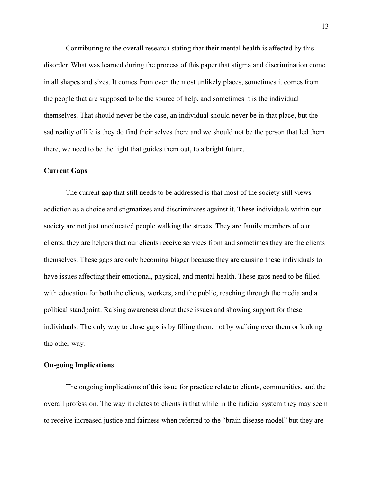Contributing to the overall research stating that their mental health is affected by this disorder. What was learned during the process of this paper that stigma and discrimination come in all shapes and sizes. It comes from even the most unlikely places, sometimes it comes from the people that are supposed to be the source of help, and sometimes it is the individual themselves. That should never be the case, an individual should never be in that place, but the sad reality of life is they do find their selves there and we should not be the person that led them there, we need to be the light that guides them out, to a bright future.

### **Current Gaps**

The current gap that still needs to be addressed is that most of the society still views addiction as a choice and stigmatizes and discriminates against it. These individuals within our society are not just uneducated people walking the streets. They are family members of our clients; they are helpers that our clients receive services from and sometimes they are the clients themselves. These gaps are only becoming bigger because they are causing these individuals to have issues affecting their emotional, physical, and mental health. These gaps need to be filled with education for both the clients, workers, and the public, reaching through the media and a political standpoint. Raising awareness about these issues and showing support for these individuals. The only way to close gaps is by filling them, not by walking over them or looking the other way.

## **On-going Implications**

The ongoing implications of this issue for practice relate to clients, communities, and the overall profession. The way it relates to clients is that while in the judicial system they may seem to receive increased justice and fairness when referred to the "brain disease model" but they are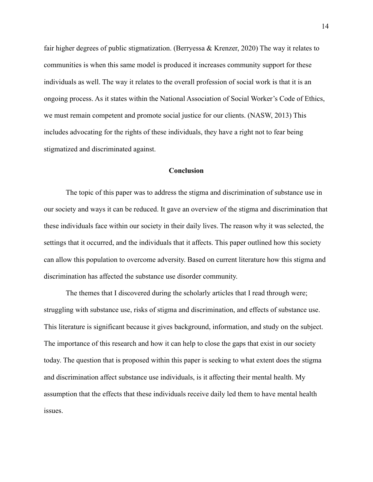fair higher degrees of public stigmatization. (Berryessa & Krenzer, 2020) The way it relates to communities is when this same model is produced it increases community support for these individuals as well. The way it relates to the overall profession of social work is that it is an ongoing process. As it states within the National Association of Social Worker's Code of Ethics, we must remain competent and promote social justice for our clients. (NASW, 2013) This includes advocating for the rights of these individuals, they have a right not to fear being stigmatized and discriminated against.

## **Conclusion**

 The topic of this paper was to address the stigma and discrimination of substance use in our society and ways it can be reduced. It gave an overview of the stigma and discrimination that these individuals face within our society in their daily lives. The reason why it was selected, the settings that it occurred, and the individuals that it affects. This paper outlined how this society can allow this population to overcome adversity. Based on current literature how this stigma and discrimination has affected the substance use disorder community.

The themes that I discovered during the scholarly articles that I read through were; struggling with substance use, risks of stigma and discrimination, and effects of substance use. This literature is significant because it gives background, information, and study on the subject. The importance of this research and how it can help to close the gaps that exist in our society today. The question that is proposed within this paper is seeking to what extent does the stigma and discrimination affect substance use individuals, is it affecting their mental health. My assumption that the effects that these individuals receive daily led them to have mental health issues.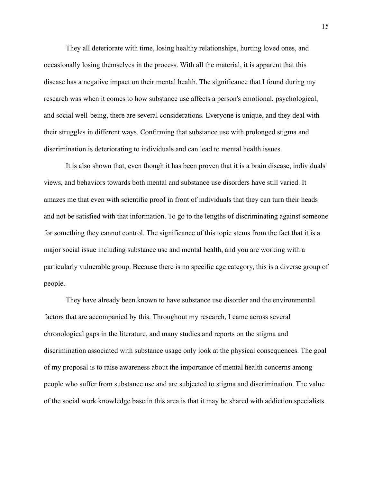They all deteriorate with time, losing healthy relationships, hurting loved ones, and occasionally losing themselves in the process. With all the material, it is apparent that this disease has a negative impact on their mental health. The significance that I found during my research was when it comes to how substance use affects a person's emotional, psychological, and social well-being, there are several considerations. Everyone is unique, and they deal with their struggles in different ways. Confirming that substance use with prolonged stigma and discrimination is deteriorating to individuals and can lead to mental health issues.

It is also shown that, even though it has been proven that it is a brain disease, individuals' views, and behaviors towards both mental and substance use disorders have still varied. It amazes me that even with scientific proof in front of individuals that they can turn their heads and not be satisfied with that information. To go to the lengths of discriminating against someone for something they cannot control. The significance of this topic stems from the fact that it is a major social issue including substance use and mental health, and you are working with a particularly vulnerable group. Because there is no specific age category, this is a diverse group of people.

They have already been known to have substance use disorder and the environmental factors that are accompanied by this. Throughout my research, I came across several chronological gaps in the literature, and many studies and reports on the stigma and discrimination associated with substance usage only look at the physical consequences. The goal of my proposal is to raise awareness about the importance of mental health concerns among people who suffer from substance use and are subjected to stigma and discrimination. The value of the social work knowledge base in this area is that it may be shared with addiction specialists.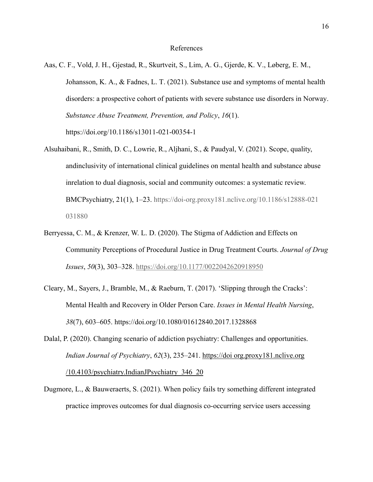### References

- Aas, C. F., Vold, J. H., Gjestad, R., Skurtveit, S., Lim, A. G., Gjerde, K. V., Løberg, E. M., Johansson, K. A., & Fadnes, L. T. (2021). Substance use and symptoms of mental health disorders: a prospective cohort of patients with severe substance use disorders in Norway. *Substance Abuse Treatment, Prevention, and Policy*, *16*(1). https://doi.org/10.1186/s13011-021-00354-1
- Alsuhaibani, R., Smith, D. C., Lowrie, R., Aljhani, S., & Paudyal, V. (2021). Scope, quality, andinclusivity of international clinical guidelines on mental health and substance abuse inrelation to dual diagnosis, social and community outcomes: a systematic review. BMCPsychiatry, 21(1), 1–23. https://doi-org.proxy181.nclive.org/10.1186/s12888-021 031880
- Berryessa, C. M., & Krenzer, W. L. D. (2020). The Stigma of Addiction and Effects on Community Perceptions of Procedural Justice in Drug Treatment Courts. *Journal of Drug Issues*, *50*(3), 303–328. https://doi.org/10.1177/0022042620918950
- Cleary, M., Sayers, J., Bramble, M., & Raeburn, T. (2017). 'Slipping through the Cracks': Mental Health and Recovery in Older Person Care. *Issues in Mental Health Nursing*, *38*(7), 603–605. https://doi.org/10.1080/01612840.2017.1328868
- Dalal, P. (2020). Changing scenario of addiction psychiatry: Challenges and opportunities. *Indian Journal of Psychiatry*, *62*(3), 235–241. https://doi org.proxy181.nclive.org /10.4103/psychiatry.IndianJPsychiatry\_346\_20
- Dugmore, L., & Bauweraerts, S. (2021). When policy fails try something different integrated practice improves outcomes for dual diagnosis co-occurring service users accessing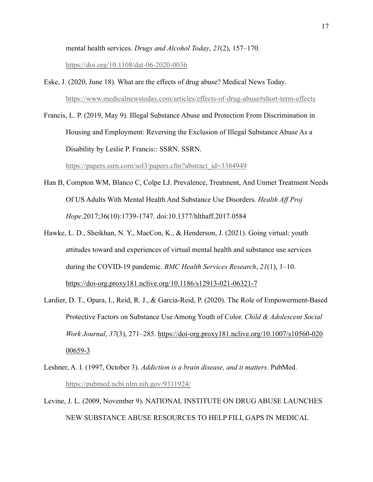mental health services. *Drugs and Alcohol Today*, *21*(2), 157–170.

https://doi.org/10.1108/dat-06-2020-0036

- Eske, J. (2020, June 18). What are the effects of drug abuse? Medical News Today. https://www.medicalnewstoday.com/articles/effects-of-drug-abuse#short-term-effects
- Francis, L. P. (2019, May 9). Illegal Substance Abuse and Protection From Discrimination in Housing and Employment: Reversing the Exclusion of Illegal Substance Abuse As a Disability by Leslie P. Francis:: SSRN. SSRN.

https://papers.ssrn.com/sol3/papers.cfm?abstract\_id=3384949

- Han B, Compton WM, Blanco C, Colpe LJ. Prevalence, Treatment, And Unmet Treatment Needs Of US Adults With Mental Health And Substance Use Disorders. *Health Aff Proj Hope*.2017;36(10):1739-1747. doi:10.1377/hlthaff.2017.0584
- Hawke, L. D., Sheikhan, N. Y., MacCon, K., & Henderson, J. (2021). Going virtual: youth attitudes toward and experiences of virtual mental health and substance use services during the COVID-19 pandemic. *BMC Health Services Research*, *21*(1), 1–10. https://doi-org.proxy181.nclive.org/10.1186/s12913-021-06321-7
- Lardier, D. T., Opara, I., Reid, R. J., & Garcia-Reid, P. (2020). The Role of Empowerment-Based Protective Factors on Substance Use Among Youth of Color. *Child & Adolescent Social Work Journal*, *37*(3), 271–285. https://doi-org.proxy181.nclive.org/10.1007/s10560-020 00659-3
- Leshner, A. I. (1997, October 3). *Addiction is a brain disease, and it matters*. PubMed. https://pubmed.ncbi.nlm.nih.gov/9311924/
- Levine, J. L. (2009, November 9). NATIONAL INSTITUTE ON DRUG ABUSE LAUNCHES NEW SUBSTANCE ABUSE RESOURCES TO HELP FILL GAPS IN MEDICAL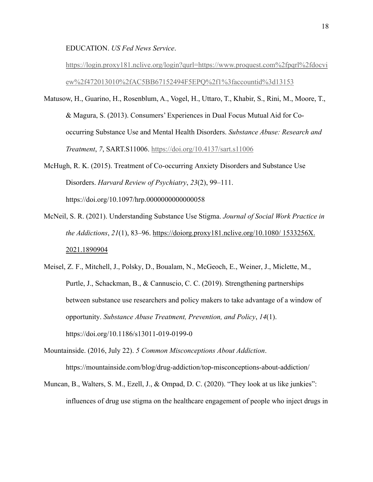EDUCATION. *US Fed News Service*.

https://login.proxy181.nclive.org/login?qurl=https://www.proquest.com%2fpqrl%2fdocvi ew%2f472013010%2fAC5BB67152494F5EPQ%2f1%3faccountid%3d13153

- Matusow, H., Guarino, H., Rosenblum, A., Vogel, H., Uttaro, T., Khabir, S., Rini, M., Moore, T., & Magura, S. (2013). Consumers' Experiences in Dual Focus Mutual Aid for Cooccurring Substance Use and Mental Health Disorders. *Substance Abuse: Research and Treatment*, *7*, SART.S11006. https://doi.org/10.4137/sart.s11006
- McHugh, R. K. (2015). Treatment of Co-occurring Anxiety Disorders and Substance Use Disorders. *Harvard Review of Psychiatry*, *23*(2), 99–111. https://doi.org/10.1097/hrp.0000000000000058
- McNeil, S. R. (2021). Understanding Substance Use Stigma. *Journal of Social Work Practice in the Addictions*, *21*(1), 83–96. https://doiorg.proxy181.nclive.org/10.1080/ 1533256X. 2021.1890904
- Meisel, Z. F., Mitchell, J., Polsky, D., Boualam, N., McGeoch, E., Weiner, J., Miclette, M., Purtle, J., Schackman, B., & Cannuscio, C. C. (2019). Strengthening partnerships between substance use researchers and policy makers to take advantage of a window of opportunity. *Substance Abuse Treatment, Prevention, and Policy*, *14*(1). https://doi.org/10.1186/s13011-019-0199-0
- Mountainside. (2016, July 22). *5 Common Misconceptions About Addiction*. https://mountainside.com/blog/drug-addiction/top-misconceptions-about-addiction/
- Muncan, B., Walters, S. M., Ezell, J., & Ompad, D. C. (2020). "They look at us like junkies": influences of drug use stigma on the healthcare engagement of people who inject drugs in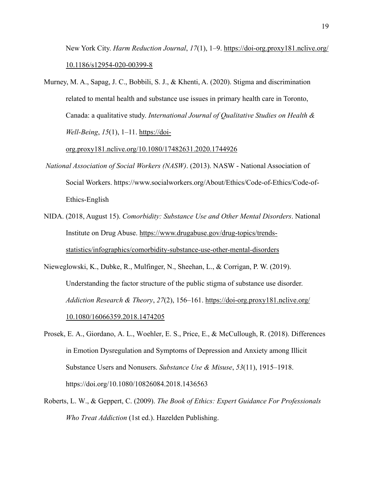New York City. *Harm Reduction Journal*, *17*(1), 1–9. https://doi-org.proxy181.nclive.org/ 10.1186/s12954-020-00399-8

Murney, M. A., Sapag, J. C., Bobbili, S. J., & Khenti, A. (2020). Stigma and discrimination related to mental health and substance use issues in primary health care in Toronto, Canada: a qualitative study. *International Journal of Qualitative Studies on Health & Well-Being*, *15*(1), 1–11. https://doi-

org.proxy181.nclive.org/10.1080/17482631.2020.1744926

- *National Association of Social Workers (NASW)*. (2013). NASW National Association of Social Workers. https://www.socialworkers.org/About/Ethics/Code-of-Ethics/Code-of-Ethics-English
- NIDA. (2018, August 15). *Comorbidity: Substance Use and Other Mental Disorders*. National Institute on Drug Abuse. https://www.drugabuse.gov/drug-topics/trendsstatistics/infographics/comorbidity-substance-use-other-mental-disorders
- Nieweglowski, K., Dubke, R., Mulfinger, N., Sheehan, L., & Corrigan, P. W. (2019). Understanding the factor structure of the public stigma of substance use disorder. *Addiction Research & Theory*, *27*(2), 156–161. https://doi-org.proxy181.nclive.org/ 10.1080/16066359.2018.1474205
- Prosek, E. A., Giordano, A. L., Woehler, E. S., Price, E., & McCullough, R. (2018). Differences in Emotion Dysregulation and Symptoms of Depression and Anxiety among Illicit Substance Users and Nonusers. *Substance Use & Misuse*, *53*(11), 1915–1918. https://doi.org/10.1080/10826084.2018.1436563
- Roberts, L. W., & Geppert, C. (2009). *The Book of Ethics: Expert Guidance For Professionals Who Treat Addiction* (1st ed.). Hazelden Publishing.